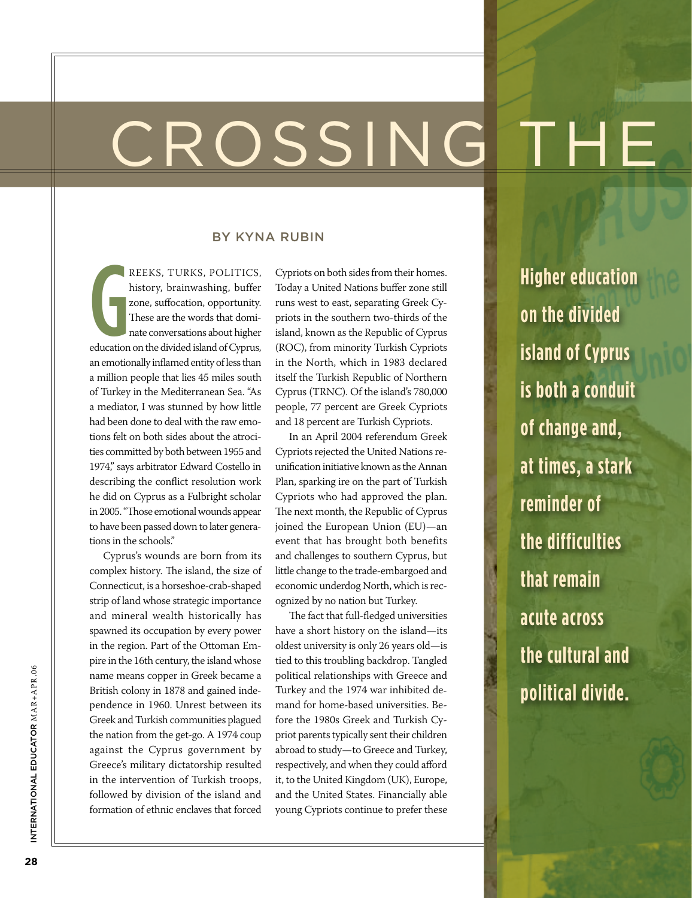## CROSSING TH

#### By Kyna Rubin

G<br>education reeks, Turks, Politics, history, brainwashing, buffer zone, suffocation, opportunity. These are the words that dominate conversations about higher education on the divided island of Cyprus, an emotionally inflamed entity of less than a million people that lies 45 miles south of Turkey in the Mediterranean Sea. "As a mediator, I was stunned by how little had been done to deal with the raw emotions felt on both sides about the atrocities committed by both between 1955 and 1974," says arbitrator Edward Costello in describing the conflict resolution work he did on Cyprus as a Fulbright scholar in 2005. "Those emotional wounds appear to have been passed down to later generations in the schools."

Cyprus's wounds are born from its complex history. The island, the size of Connecticut, is a horseshoe-crab-shaped strip of land whose strategic importance and mineral wealth historically has spawned its occupation by every power in the region. Part of the Ottoman Empire in the 16th century, the island whose name means copper in Greek became a British colony in 1878 and gained independence in 1960. Unrest between its Greek and Turkish communities plagued the nation from the get-go. A 1974 coup against the Cyprus government by Greece's military dictatorship resulted in the intervention of Turkish troops, followed by division of the island and formation of ethnic enclaves that forced

Cypriots on both sides from their homes. Today a United Nations buffer zone still runs west to east, separating Greek Cypriots in the southern two-thirds of the island, known as the Republic of Cyprus (ROC), from minority Turkish Cypriots in the North, which in 1983 declared itself the Turkish Republic of Northern Cyprus (TRNC). Of the island's 780,000 people, 77 percent are Greek Cypriots and 18 percent are Turkish Cypriots.

In an April 2004 referendum Greek Cypriots rejected the United Nations reunification initiative known as the Annan Plan, sparking ire on the part of Turkish Cypriots who had approved the plan. The next month, the Republic of Cyprus joined the European Union (EU)—an event that has brought both benefits and challenges to southern Cyprus, but little change to the trade-embargoed and economic underdog North, which is recognized by no nation but Turkey.

The fact that full-fledged universities have a short history on the island—its oldest university is only 26 years old—is tied to this troubling backdrop. Tangled political relationships with Greece and Turkey and the 1974 war inhibited demand for home-based universities. Before the 1980s Greek and Turkish Cypriot parents typically sent their children abroad to study—to Greece and Turkey, respectively, and when they could afford it, to the United Kingdom (UK), Europe, and the United States. Financially able young Cypriots continue to prefer these

**Higher education on the divided island of Cyprus is both a conduit of change and, at times, a stark reminder of the difficulties that remain acute across the cultural and political divide.**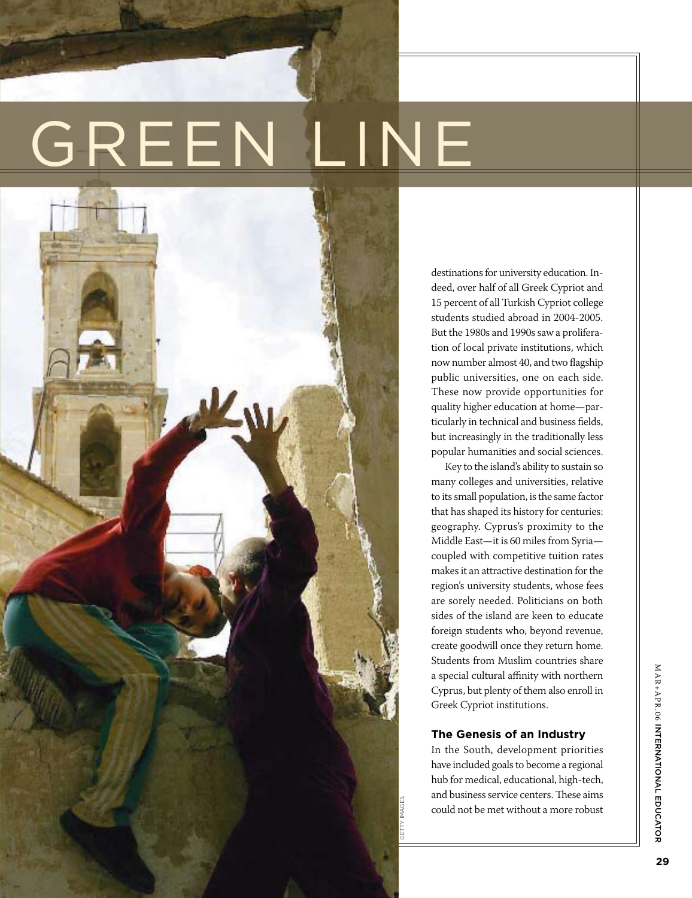# GREEN LINE



destinations for university education. Indeed, over half of all Greek Cypriot and 15 percent of all Turkish Cypriot college students studied abroad in 2004-2005. But the 1980s and 1990s saw a proliferation of local private institutions, which now number almost 40, and two flagship public universities, one on each side. These now provide opportunities for quality higher education at home—particularly in technical and business fields, but increasingly in the traditionally less popular humanities and social sciences.

Key to the island's ability to sustain so many colleges and universities, relative to its small population, is the same factor that has shaped its history for centuries: geography. Cyprus's proximity to the Middle East—it is 60 miles from Syria coupled with competitive tuition rates makes it an attractive destination for the region's university students, whose fees are sorely needed. Politicians on both sides of the island are keen to educate foreign students who, beyond revenue, create goodwill once they return home. Students from Muslim countries share a special cultural affinity with northern Cyprus, but plenty of them also enroll in Greek Cypriot institutions.

#### **The Genesis of an Industry**

getty images

In the South, development priorities have included goals to become a regional hub for medical, educational, high-tech, and business service centers. These aims could not be met without a more robust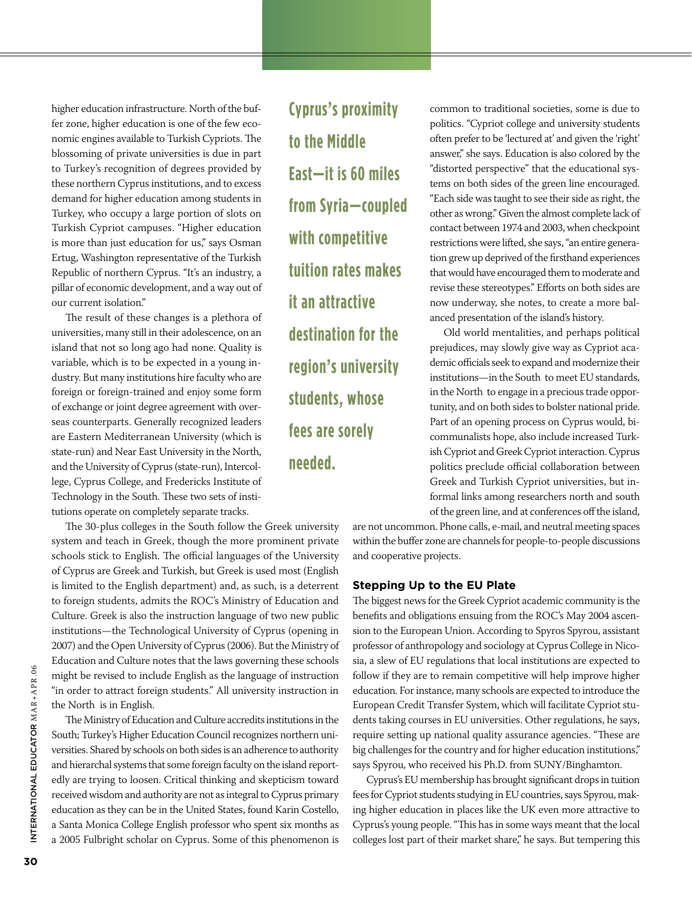higher education infrastructure. North of the buffer zone, higher education is one of the few economic engines available to Turkish Cypriots. The blossoming of private universities is due in part to Turkey's recognition of degrees provided by these northern Cyprus institutions, and to excess demand for higher education among students in Turkey, who occupy a large portion of slots on Turkish Cypriot campuses. "Higher education is more than just education for us," says Osman Ertug, Washington representative of the Turkish Republic of northern Cyprus. "It's an industry, a pillar of economic development, and a way out of our current isolation."

The result of these changes is a plethora of universities, many still in their adolescence, on an island that not so long ago had none. Quality is variable, which is to be expected in a young industry. But many institutions hire faculty who are foreign or foreign-trained and enjoy some form of exchange or joint degree agreement with overseas counterparts. Generally recognized leaders are Eastern Mediterranean University (which is state-run) and Near East University in the North, and the University of Cyprus (state-run), Intercollege, Cyprus College, and Fredericks Institute of Technology in the South. These two sets of institutions operate on completely separate tracks.

The 30-plus colleges in the South follow the Greek university system and teach in Greek, though the more prominent private schools stick to English. The official languages of the University of Cyprus are Greek and Turkish, but Greek is used most (English is limited to the English department) and, as such, is a deterrent to foreign students, admits the ROC's Ministry of Education and Culture. Greek is also the instruction language of two new public institutions—the Technological University of Cyprus (opening in 2007) and the Open University of Cyprus (2006). But the Ministry of Education and Culture notes that the laws governing these schools might be revised to include English as the language of instruction "in order to attract foreign students." All university instruction in the North is in English.

The Ministry of Education and Culture accredits institutions in the South; Turkey's Higher Education Council recognizes northern universities. Shared by schools on both sides is an adherence to authority and hierarchal systems that some foreign faculty on the island reportedly are trying to loosen. Critical thinking and skepticism toward received wisdom and authority are not as integral to Cyprus primary education as they can be in the United States, found Karin Costello, a Santa Monica College English professor who spent six months as a 2005 Fulbright scholar on Cyprus. Some of this phenomenon is

**Cyprus's proximity to the Middle East—it is 60 miles from Syria—coupled with competitive tuition rates makes it an attractive destination for the region's university students, whose fees are sorely needed.** 

common to traditional societies, some is due to politics. "Cypriot college and university students often prefer to be 'lectured at' and given the 'right' answer," she says. Education is also colored by the "distorted perspective" that the educational systems on both sides of the green line encouraged. "Each side was taught to see their side as right, the other as wrong." Given the almost complete lack of contact between 1974 and 2003, when checkpoint restrictions were lifted, she says, "an entire generation grew up deprived of the firsthand experiences that would have encouraged them to moderate and revise these stereotypes." Efforts on both sides are now underway, she notes, to create a more balanced presentation of the island's history.

Old world mentalities, and perhaps political prejudices, may slowly give way as Cypriot academic officials seek to expand and modernize their institutions—in the South to meet EU standards, in the North to engage in a precious trade opportunity, and on both sides to bolster national pride. Part of an opening process on Cyprus would, bicommunalists hope, also include increased Turkish Cypriot and Greek Cypriot interaction. Cyprus politics preclude official collaboration between Greek and Turkish Cypriot universities, but informal links among researchers north and south of the green line, and at conferences off the island,

are not uncommon. Phone calls, e-mail, and neutral meeting spaces within the buffer zone are channels for people-to-people discussions and cooperative projects.

#### **Stepping Up to the EU Plate**

The biggest news for the Greek Cypriot academic community is the benefits and obligations ensuing from the ROC's May 2004 ascension to the European Union. According to Spyros Spyrou, assistant professor of anthropology and sociology at Cyprus College in Nicosia, a slew of EU regulations that local institutions are expected to follow if they are to remain competitive will help improve higher education. For instance, many schools are expected to introduce the European Credit Transfer System, which will facilitate Cypriot students taking courses in EU universities. Other regulations, he says, require setting up national quality assurance agencies. "These are big challenges for the country and for higher education institutions," says Spyrou, who received his Ph.D. from SUNY/Binghamton.

Cyprus's EU membership has brought significant drops in tuition fees for Cypriot students studying in EU countries, says Spyrou, making higher education in places like the UK even more attractive to Cyprus's young people. "This has in some ways meant that the local colleges lost part of their market share," he says. But tempering this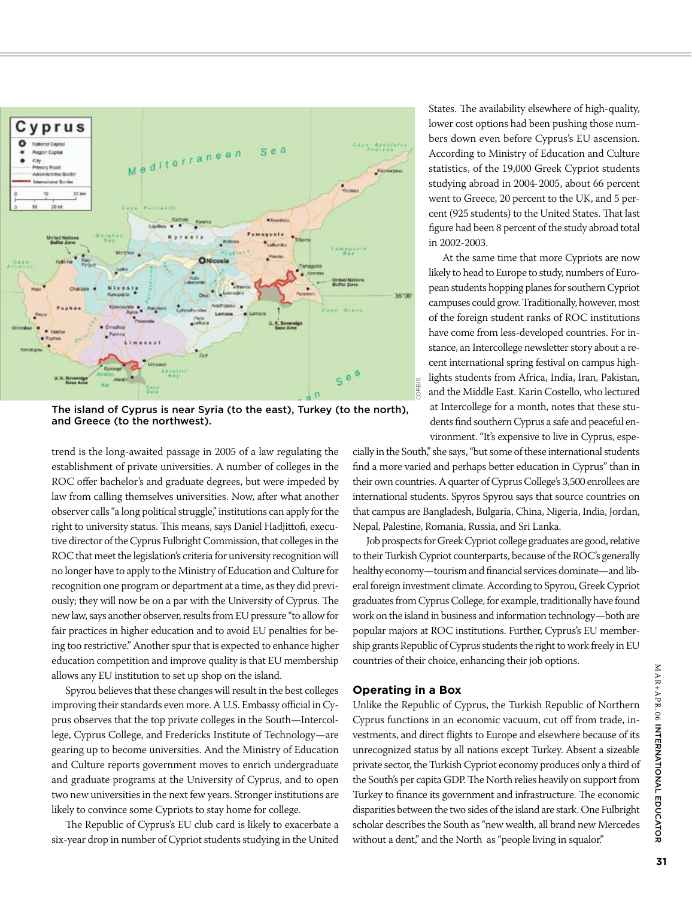

The island of Cyprus is near Syria (to the east), Turkey (to the north), and Greece (to the northwest).

trend is the long-awaited passage in 2005 of a law regulating the establishment of private universities. A number of colleges in the ROC offer bachelor's and graduate degrees, but were impeded by law from calling themselves universities. Now, after what another observer calls "a long political struggle," institutions can apply for the right to university status. This means, says Daniel Hadjittofi, executive director of the Cyprus Fulbright Commission, that colleges in the ROC that meet the legislation's criteria for university recognition will no longer have to apply to the Ministry of Education and Culture for recognition one program or department at a time, as they did previously; they will now be on a par with the University of Cyprus. The new law, says another observer, results from EU pressure "to allow for fair practices in higher education and to avoid EU penalties for being too restrictive." Another spur that is expected to enhance higher education competition and improve quality is that EU membership allows any EU institution to set up shop on the island.

Spyrou believes that these changes will result in the best colleges improving their standards even more. A U.S. Embassy official in Cyprus observes that the top private colleges in the South—Intercollege, Cyprus College, and Fredericks Institute of Technology—are gearing up to become universities. And the Ministry of Education and Culture reports government moves to enrich undergraduate and graduate programs at the University of Cyprus, and to open two new universities in the next few years. Stronger institutions are likely to convince some Cypriots to stay home for college.

The Republic of Cyprus's EU club card is likely to exacerbate a six-year drop in number of Cypriot students studying in the United

States. The availability elsewhere of high-quality, lower cost options had been pushing those numbers down even before Cyprus's EU ascension. According to Ministry of Education and Culture statistics, of the 19,000 Greek Cypriot students studying abroad in 2004-2005, about 66 percent went to Greece, 20 percent to the UK, and 5 percent (925 students) to the United States. That last figure had been 8 percent of the study abroad total in 2002-2003.

At the same time that more Cypriots are now likely to head to Europe to study, numbers of European students hopping planes for southern Cypriot campuses could grow. Traditionally, however, most of the foreign student ranks of ROC institutions have come from less-developed countries. For instance, an Intercollege newsletter story about a recent international spring festival on campus highlights students from Africa, India, Iran, Pakistan, and the Middle East. Karin Costello, who lectured at Intercollege for a month, notes that these students find southern Cyprus a safe and peaceful environment. "It's expensive to live in Cyprus, espe-

cially in the South," she says, "but some of these international students find a more varied and perhaps better education in Cyprus" than in their own countries. A quarter of Cyprus College's 3,500 enrollees are international students. Spyros Spyrou says that source countries on that campus are Bangladesh, Bulgaria, China, Nigeria, India, Jordan, Nepal, Palestine, Romania, Russia, and Sri Lanka.

Job prospects for Greek Cypriot college graduates are good, relative to their Turkish Cypriot counterparts, because of the ROC's generally healthy economy—tourism and financial services dominate—and liberal foreign investment climate. According to Spyrou, Greek Cypriot graduates from Cyprus College, for example, traditionally have found work on the island in business and information technology—both are popular majors at ROC institutions. Further, Cyprus's EU membership grants Republic of Cyprus students the right to work freely in EU countries of their choice, enhancing their job options.

#### **Operating in a Box**

Unlike the Republic of Cyprus, the Turkish Republic of Northern Cyprus functions in an economic vacuum, cut off from trade, investments, and direct flights to Europe and elsewhere because of its unrecognized status by all nations except Turkey. Absent a sizeable private sector, the Turkish Cypriot economy produces only a third of the South's per capita GDP. The North relies heavily on support from Turkey to finance its government and infrastructure. The economic disparities between the two sides of the island are stark. One Fulbright scholar describes the South as "new wealth, all brand new Mercedes without a dent," and the North as "people living in squalor."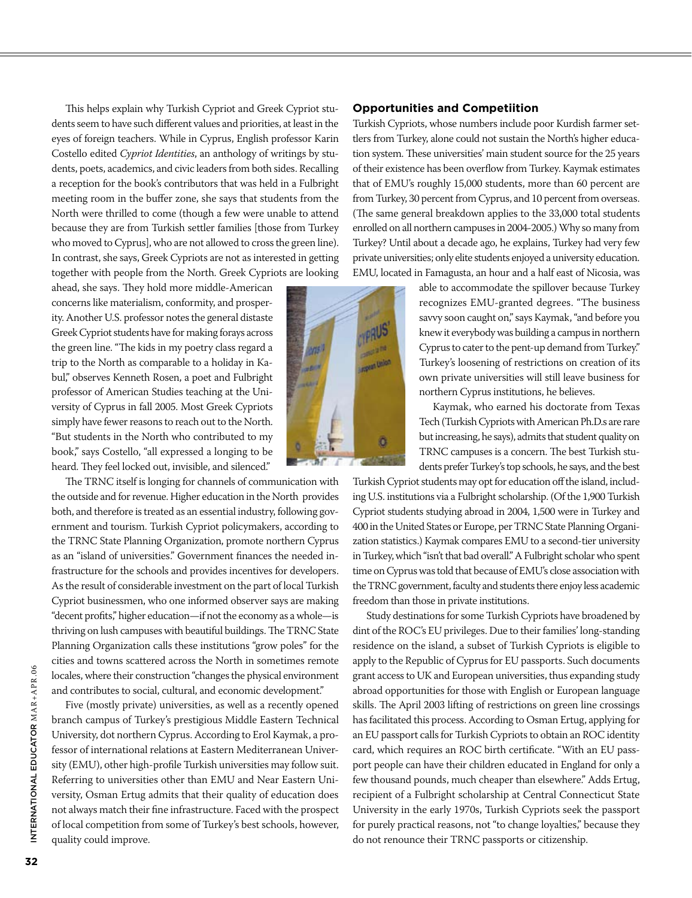This helps explain why Turkish Cypriot and Greek Cypriot students seem to have such different values and priorities, at least in the eyes of foreign teachers. While in Cyprus, English professor Karin Costello edited *Cypriot Identities*, an anthology of writings by students, poets, academics, and civic leaders from both sides. Recalling a reception for the book's contributors that was held in a Fulbright meeting room in the buffer zone, she says that students from the North were thrilled to come (though a few were unable to attend because they are from Turkish settler families [those from Turkey who moved to Cyprus], who are not allowed to cross the green line). In contrast, she says, Greek Cypriots are not as interested in getting together with people from the North. Greek Cypriots are looking

ahead, she says. They hold more middle-American concerns like materialism, conformity, and prosperity. Another U.S. professor notes the general distaste Greek Cypriot students have for making forays across the green line. "The kids in my poetry class regard a trip to the North as comparable to a holiday in Kabul," observes Kenneth Rosen, a poet and Fulbright professor of American Studies teaching at the University of Cyprus in fall 2005. Most Greek Cypriots simply have fewer reasons to reach out to the North. "But students in the North who contributed to my book," says Costello, "all expressed a longing to be heard. They feel locked out, invisible, and silenced."

The TRNC itself is longing for channels of communication with the outside and for revenue. Higher education in the North provides both, and therefore is treated as an essential industry, following government and tourism. Turkish Cypriot policymakers, according to the TRNC State Planning Organization, promote northern Cyprus as an "island of universities." Government finances the needed infrastructure for the schools and provides incentives for developers. As the result of considerable investment on the part of local Turkish Cypriot businessmen, who one informed observer says are making "decent profits," higher education—if not the economy as a whole—is thriving on lush campuses with beautiful buildings. The TRNC State Planning Organization calls these institutions "grow poles" for the cities and towns scattered across the North in sometimes remote locales, where their construction "changes the physical environment and contributes to social, cultural, and economic development."

Five (mostly private) universities, as well as a recently opened branch campus of Turkey's prestigious Middle Eastern Technical University, dot northern Cyprus. According to Erol Kaymak, a professor of international relations at Eastern Mediterranean University (EMU), other high-profile Turkish universities may follow suit. Referring to universities other than EMU and Near Eastern University, Osman Ertug admits that their quality of education does not always match their fine infrastructure. Faced with the prospect of local competition from some of Turkey's best schools, however, quality could improve.

#### **Opportunities and Competiition**

Turkish Cypriots, whose numbers include poor Kurdish farmer settlers from Turkey, alone could not sustain the North's higher education system. These universities' main student source for the 25 years of their existence has been overflow from Turkey. Kaymak estimates that of EMU's roughly 15,000 students, more than 60 percent are from Turkey, 30 percent from Cyprus, and 10 percent from overseas. (The same general breakdown applies to the 33,000 total students enrolled on all northern campuses in 2004-2005.) Why so many from Turkey? Until about a decade ago, he explains, Turkey had very few private universities; only elite students enjoyed a university education. EMU, located in Famagusta, an hour and a half east of Nicosia, was



Kaymak, who earned his doctorate from Texas Tech (Turkish Cypriots with American Ph.D.s are rare but increasing, he says), admits that student quality on TRNC campuses is a concern. The best Turkish students prefer Turkey's top schools, he says, and the best

Turkish Cypriot students may opt for education off the island, including U.S. institutions via a Fulbright scholarship. (Of the 1,900 Turkish Cypriot students studying abroad in 2004, 1,500 were in Turkey and 400 in the United States or Europe, per TRNC State Planning Organization statistics.) Kaymak compares EMU to a second-tier university in Turkey, which "isn't that bad overall." A Fulbright scholar who spent time on Cyprus was told that because of EMU's close association with the TRNC government, faculty and students there enjoy less academic freedom than those in private institutions.

Study destinations for some Turkish Cypriots have broadened by dint of the ROC's EU privileges. Due to their families' long-standing residence on the island, a subset of Turkish Cypriots is eligible to apply to the Republic of Cyprus for EU passports. Such documents grant access to UK and European universities, thus expanding study abroad opportunities for those with English or European language skills. The April 2003 lifting of restrictions on green line crossings has facilitated this process. According to Osman Ertug, applying for an EU passport calls for Turkish Cypriots to obtain an ROC identity card, which requires an ROC birth certificate. "With an EU passport people can have their children educated in England for only a few thousand pounds, much cheaper than elsewhere." Adds Ertug, recipient of a Fulbright scholarship at Central Connecticut State University in the early 1970s, Turkish Cypriots seek the passport for purely practical reasons, not "to change loyalties," because they do not renounce their TRNC passports or citizenship.

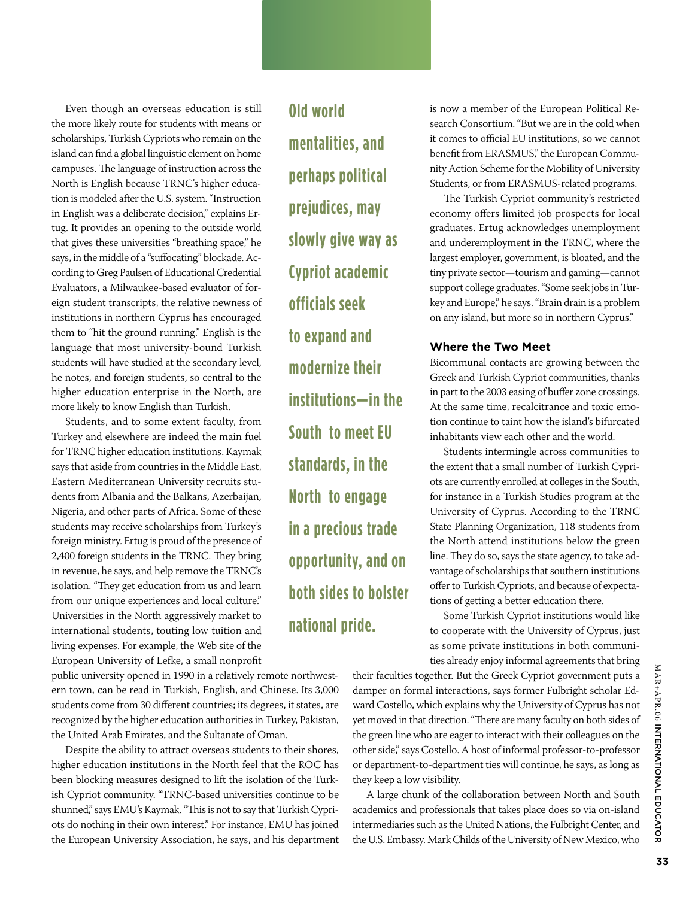Even though an overseas education is still the more likely route for students with means or scholarships, Turkish Cypriots who remain on the island can find a global linguistic element on home campuses. The language of instruction across the North is English because TRNC's higher education is modeled after the U.S. system. "Instruction in English was a deliberate decision," explains Ertug. It provides an opening to the outside world that gives these universities "breathing space," he says, in the middle of a "suffocating" blockade. According to Greg Paulsen of Educational Credential Evaluators, a Milwaukee-based evaluator of foreign student transcripts, the relative newness of institutions in northern Cyprus has encouraged them to "hit the ground running." English is the language that most university-bound Turkish students will have studied at the secondary level, he notes, and foreign students, so central to the higher education enterprise in the North, are more likely to know English than Turkish.

Students, and to some extent faculty, from Turkey and elsewhere are indeed the main fuel for TRNC higher education institutions. Kaymak says that aside from countries in the Middle East, Eastern Mediterranean University recruits students from Albania and the Balkans, Azerbaijan, Nigeria, and other parts of Africa. Some of these students may receive scholarships from Turkey's foreign ministry. Ertug is proud of the presence of 2,400 foreign students in the TRNC. They bring in revenue, he says, and help remove the TRNC's isolation. "They get education from us and learn from our unique experiences and local culture." Universities in the North aggressively market to international students, touting low tuition and living expenses. For example, the Web site of the European University of Lefke, a small nonprofit

public university opened in 1990 in a relatively remote northwestern town, can be read in Turkish, English, and Chinese. Its 3,000 students come from 30 different countries; its degrees, it states, are recognized by the higher education authorities in Turkey, Pakistan, the United Arab Emirates, and the Sultanate of Oman.

Despite the ability to attract overseas students to their shores, higher education institutions in the North feel that the ROC has been blocking measures designed to lift the isolation of the Turkish Cypriot community. "TRNC-based universities continue to be shunned," says EMU's Kaymak. "This is not to say that Turkish Cypriots do nothing in their own interest." For instance, EMU has joined the European University Association, he says, and his department

**Old world mentalities, and perhaps political prejudices, may slowly give way as Cypriot academic officials seek to expand and modernize their institutions—in the South to meet EU standards, in the North to engage in a precious trade opportunity, and on both sides to bolster national pride.** 

is now a member of the European Political Research Consortium. "But we are in the cold when it comes to official EU institutions, so we cannot benefit from ERASMUS," the European Community Action Scheme for the Mobility of University Students, or from ERASMUS-related programs.

The Turkish Cypriot community's restricted economy offers limited job prospects for local graduates. Ertug acknowledges unemployment and underemployment in the TRNC, where the largest employer, government, is bloated, and the tiny private sector—tourism and gaming—cannot support college graduates. "Some seek jobs in Turkey and Europe," he says. "Brain drain is a problem on any island, but more so in northern Cyprus."

#### **Where the Two Meet**

Bicommunal contacts are growing between the Greek and Turkish Cypriot communities, thanks in part to the 2003 easing of buffer zone crossings. At the same time, recalcitrance and toxic emotion continue to taint how the island's bifurcated inhabitants view each other and the world.

Students intermingle across communities to the extent that a small number of Turkish Cypriots are currently enrolled at colleges in the South, for instance in a Turkish Studies program at the University of Cyprus. According to the TRNC State Planning Organization, 118 students from the North attend institutions below the green line. They do so, says the state agency, to take advantage of scholarships that southern institutions offer to Turkish Cypriots, and because of expectations of getting a better education there.

Some Turkish Cypriot institutions would like to cooperate with the University of Cyprus, just as some private institutions in both communities already enjoy informal agreements that bring

their faculties together. But the Greek Cypriot government puts a damper on formal interactions, says former Fulbright scholar Edward Costello, which explains why the University of Cyprus has not yet moved in that direction. "There are many faculty on both sides of the green line who are eager to interact with their colleagues on the other side," says Costello. A host of informal professor-to-professor or department-to-department ties will continue, he says, as long as they keep a low visibility.

A large chunk of the collaboration between North and South academics and professionals that takes place does so via on-island intermediaries such as the United Nations, the Fulbright Center, and the U.S. Embassy. Mark Childs of the University of New Mexico, who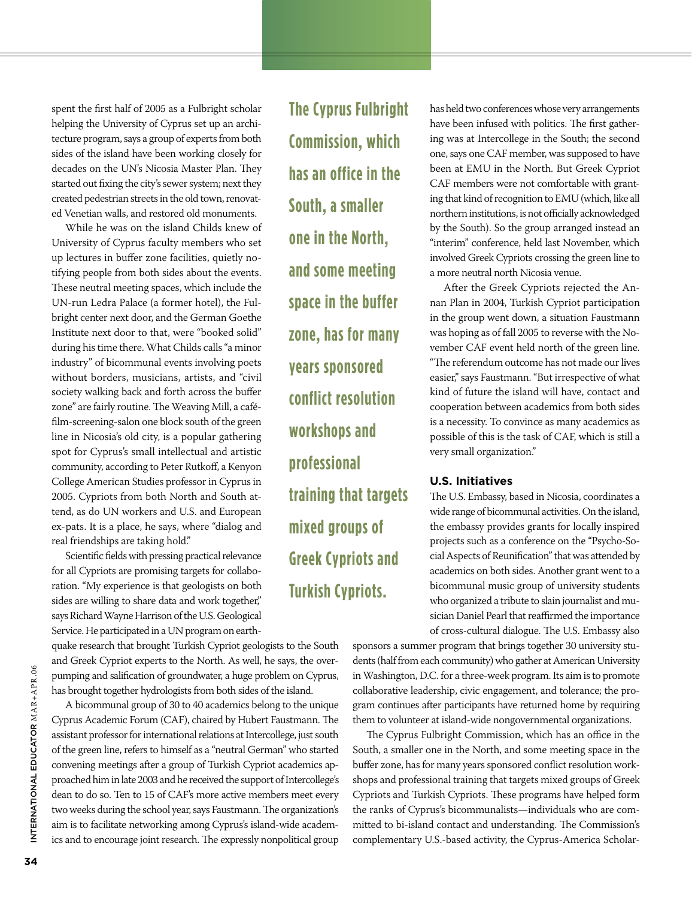spent the first half of 2005 as a Fulbright scholar helping the University of Cyprus set up an architecture program, says a group of experts from both sides of the island have been working closely for decades on the UN's Nicosia Master Plan. They started out fixing the city's sewer system; next they created pedestrian streets in the old town, renovated Venetian walls, and restored old monuments.

While he was on the island Childs knew of University of Cyprus faculty members who set up lectures in buffer zone facilities, quietly notifying people from both sides about the events. These neutral meeting spaces, which include the UN-run Ledra Palace (a former hotel), the Fulbright center next door, and the German Goethe Institute next door to that, were "booked solid" during his time there. What Childs calls "a minor industry" of bicommunal events involving poets without borders, musicians, artists, and "civil society walking back and forth across the buffer zone" are fairly routine. The Weaving Mill, a caféfilm-screening-salon one block south of the green line in Nicosia's old city, is a popular gathering spot for Cyprus's small intellectual and artistic community, according to Peter Rutkoff, a Kenyon College American Studies professor in Cyprus in 2005. Cypriots from both North and South attend, as do UN workers and U.S. and European ex-pats. It is a place, he says, where "dialog and real friendships are taking hold."

Scientific fields with pressing practical relevance for all Cypriots are promising targets for collaboration. "My experience is that geologists on both sides are willing to share data and work together," says Richard Wayne Harrison of the U.S. Geological Service. He participated in a UN program on earth-

quake research that brought Turkish Cypriot geologists to the South and Greek Cypriot experts to the North. As well, he says, the overpumping and salification of groundwater, a huge problem on Cyprus, has brought together hydrologists from both sides of the island.

A bicommunal group of 30 to 40 academics belong to the unique Cyprus Academic Forum (CAF), chaired by Hubert Faustmann. The assistant professor for international relations at Intercollege, just south of the green line, refers to himself as a "neutral German" who started convening meetings after a group of Turkish Cypriot academics approached him in late 2003 and he received the support of Intercollege's dean to do so. Ten to 15 of CAF's more active members meet every two weeks during the school year, says Faustmann. The organization's aim is to facilitate networking among Cyprus's island-wide academics and to encourage joint research. The expressly nonpolitical group

**The Cyprus Fulbright Commission, which has an office in the South, a smaller one in the North, and some meeting space in the buffer zone, has for many years sponsored conflict resolution workshops and professional training that targets mixed groups of Greek Cypriots and Turkish Cypriots.**

has held two conferences whose very arrangements have been infused with politics. The first gathering was at Intercollege in the South; the second one, says one CAF member, was supposed to have been at EMU in the North. But Greek Cypriot CAF members were not comfortable with granting that kind of recognition to EMU (which, like all northern institutions, is not officially acknowledged by the South). So the group arranged instead an "interim" conference, held last November, which involved Greek Cypriots crossing the green line to a more neutral north Nicosia venue.

After the Greek Cypriots rejected the Annan Plan in 2004, Turkish Cypriot participation in the group went down, a situation Faustmann was hoping as of fall 2005 to reverse with the November CAF event held north of the green line. "The referendum outcome has not made our lives easier," says Faustmann. "But irrespective of what kind of future the island will have, contact and cooperation between academics from both sides is a necessity. To convince as many academics as possible of this is the task of CAF, which is still a very small organization."

#### **U.S. Initiatives**

The U.S. Embassy, based in Nicosia, coordinates a wide range of bicommunal activities. On the island, the embassy provides grants for locally inspired projects such as a conference on the "Psycho-Social Aspects of Reunification" that was attended by academics on both sides. Another grant went to a bicommunal music group of university students who organized a tribute to slain journalist and musician Daniel Pearl that reaffirmed the importance of cross-cultural dialogue. The U.S. Embassy also

sponsors a summer program that brings together 30 university students (half from each community) who gather at American University in Washington, D.C. for a three-week program. Its aim is to promote collaborative leadership, civic engagement, and tolerance; the program continues after participants have returned home by requiring them to volunteer at island-wide nongovernmental organizations.

The Cyprus Fulbright Commission, which has an office in the South, a smaller one in the North, and some meeting space in the buffer zone, has for many years sponsored conflict resolution workshops and professional training that targets mixed groups of Greek Cypriots and Turkish Cypriots. These programs have helped form the ranks of Cyprus's bicommunalists—individuals who are committed to bi-island contact and understanding. The Commission's complementary U.S.-based activity, the Cyprus-America Scholar